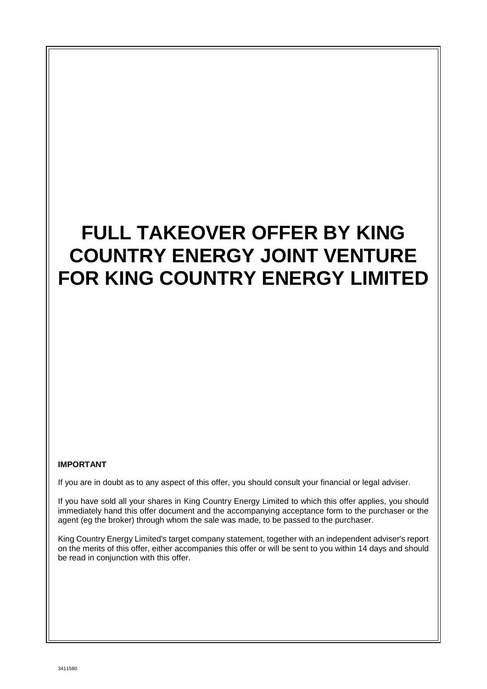# **FULL TAKEOVER OFFER BY KING COUNTRY ENERGY JOINT VENTURE FOR KING COUNTRY ENERGY LIMITED**

#### **IMPORTANT**

If you are in doubt as to any aspect of this offer, you should consult your financial or legal adviser.

If you have sold all your shares in King Country Energy Limited to which this offer applies, you should immediately hand this offer document and the accompanying acceptance form to the purchaser or the agent (eg the broker) through whom the sale was made, to be passed to the purchaser.

King Country Energy Limited's target company statement, together with an independent adviser's report on the merits of this offer, either accompanies this offer or will be sent to you within 14 days and should be read in conjunction with this offer.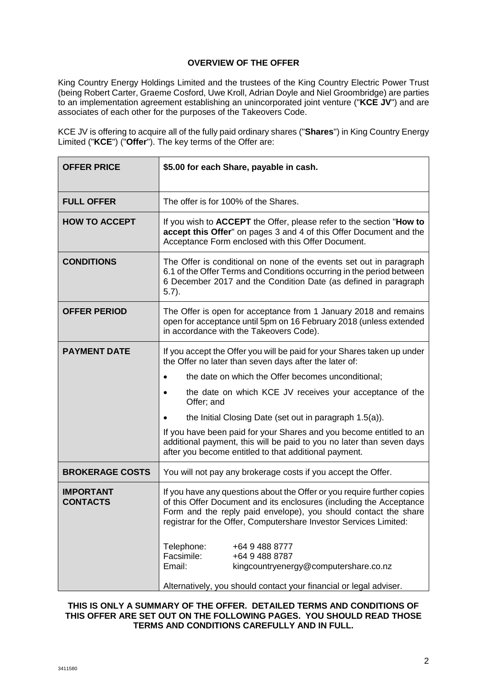# **OVERVIEW OF THE OFFER**

King Country Energy Holdings Limited and the trustees of the King Country Electric Power Trust (being Robert Carter, Graeme Cosford, Uwe Kroll, Adrian Doyle and Niel Groombridge) are parties to an implementation agreement establishing an unincorporated joint venture ("**KCE JV**") and are associates of each other for the purposes of the Takeovers Code.

KCE JV is offering to acquire all of the fully paid ordinary shares ("**Shares**") in King Country Energy Limited ("**KCE**") ("**Offer**"). The key terms of the Offer are:

| <b>OFFER PRICE</b>                  | \$5.00 for each Share, payable in cash.                                                                                                                                                                                                                                                |  |  |  |  |
|-------------------------------------|----------------------------------------------------------------------------------------------------------------------------------------------------------------------------------------------------------------------------------------------------------------------------------------|--|--|--|--|
| <b>FULL OFFER</b>                   | The offer is for 100% of the Shares.                                                                                                                                                                                                                                                   |  |  |  |  |
| <b>HOW TO ACCEPT</b>                | If you wish to ACCEPT the Offer, please refer to the section "How to<br>accept this Offer" on pages 3 and 4 of this Offer Document and the<br>Acceptance Form enclosed with this Offer Document.                                                                                       |  |  |  |  |
| <b>CONDITIONS</b>                   | The Offer is conditional on none of the events set out in paragraph<br>6.1 of the Offer Terms and Conditions occurring in the period between<br>6 December 2017 and the Condition Date (as defined in paragraph<br>$(5.7)$ .                                                           |  |  |  |  |
| <b>OFFER PERIOD</b>                 | The Offer is open for acceptance from 1 January 2018 and remains<br>open for acceptance until 5pm on 16 February 2018 (unless extended<br>in accordance with the Takeovers Code).                                                                                                      |  |  |  |  |
| <b>PAYMENT DATE</b>                 | If you accept the Offer you will be paid for your Shares taken up under<br>the Offer no later than seven days after the later of:                                                                                                                                                      |  |  |  |  |
|                                     | the date on which the Offer becomes unconditional;<br>$\bullet$                                                                                                                                                                                                                        |  |  |  |  |
|                                     | the date on which KCE JV receives your acceptance of the<br>Offer; and                                                                                                                                                                                                                 |  |  |  |  |
|                                     | the Initial Closing Date (set out in paragraph 1.5(a)).                                                                                                                                                                                                                                |  |  |  |  |
|                                     | If you have been paid for your Shares and you become entitled to an<br>additional payment, this will be paid to you no later than seven days<br>after you become entitled to that additional payment.                                                                                  |  |  |  |  |
| <b>BROKERAGE COSTS</b>              | You will not pay any brokerage costs if you accept the Offer.                                                                                                                                                                                                                          |  |  |  |  |
| <b>IMPORTANT</b><br><b>CONTACTS</b> | If you have any questions about the Offer or you require further copies<br>of this Offer Document and its enclosures (including the Acceptance<br>Form and the reply paid envelope), you should contact the share<br>registrar for the Offer, Computershare Investor Services Limited: |  |  |  |  |
|                                     | Telephone:<br>+64 9 488 8777<br>Facsimile:<br>+64 9 488 8787<br>Email:<br>kingcountryenergy@computershare.co.nz<br>Alternatively, you should contact your financial or legal adviser.                                                                                                  |  |  |  |  |

## **THIS IS ONLY A SUMMARY OF THE OFFER. DETAILED TERMS AND CONDITIONS OF THIS OFFER ARE SET OUT ON THE FOLLOWING PAGES. YOU SHOULD READ THOSE TERMS AND CONDITIONS CAREFULLY AND IN FULL.**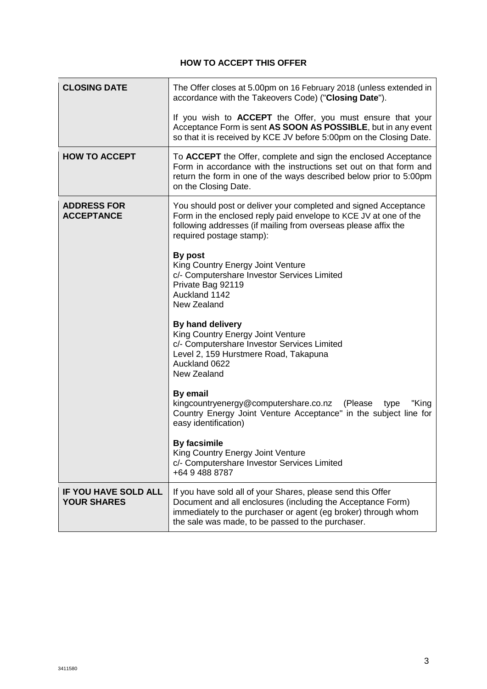# **HOW TO ACCEPT THIS OFFER**

| <b>CLOSING DATE</b>                               | The Offer closes at 5.00pm on 16 February 2018 (unless extended in<br>accordance with the Takeovers Code) ("Closing Date").                                                                                                                       |  |  |  |  |
|---------------------------------------------------|---------------------------------------------------------------------------------------------------------------------------------------------------------------------------------------------------------------------------------------------------|--|--|--|--|
|                                                   | If you wish to <b>ACCEPT</b> the Offer, you must ensure that your<br>Acceptance Form is sent AS SOON AS POSSIBLE, but in any event<br>so that it is received by KCE JV before 5:00pm on the Closing Date.                                         |  |  |  |  |
| <b>HOW TO ACCEPT</b>                              | To ACCEPT the Offer, complete and sign the enclosed Acceptance<br>Form in accordance with the instructions set out on that form and<br>return the form in one of the ways described below prior to 5:00pm<br>on the Closing Date.                 |  |  |  |  |
| <b>ADDRESS FOR</b><br><b>ACCEPTANCE</b>           | You should post or deliver your completed and signed Acceptance<br>Form in the enclosed reply paid envelope to KCE JV at one of the<br>following addresses (if mailing from overseas please affix the<br>required postage stamp):                 |  |  |  |  |
|                                                   | By post<br>King Country Energy Joint Venture<br>c/- Computershare Investor Services Limited<br>Private Bag 92119<br>Auckland 1142<br>New Zealand                                                                                                  |  |  |  |  |
|                                                   | By hand delivery<br>King Country Energy Joint Venture<br>c/- Computershare Investor Services Limited<br>Level 2, 159 Hurstmere Road, Takapuna<br>Auckland 0622<br>New Zealand                                                                     |  |  |  |  |
|                                                   | By email<br>kingcountryenergy@computershare.co.nz<br>(Please<br>type<br>"King<br>Country Energy Joint Venture Acceptance" in the subject line for<br>easy identification)                                                                         |  |  |  |  |
|                                                   | <b>By facsimile</b><br>King Country Energy Joint Venture<br>c/- Computershare Investor Services Limited<br>+64 9 488 8787                                                                                                                         |  |  |  |  |
| <b>IF YOU HAVE SOLD ALL</b><br><b>YOUR SHARES</b> | If you have sold all of your Shares, please send this Offer<br>Document and all enclosures (including the Acceptance Form)<br>immediately to the purchaser or agent (eg broker) through whom<br>the sale was made, to be passed to the purchaser. |  |  |  |  |

J.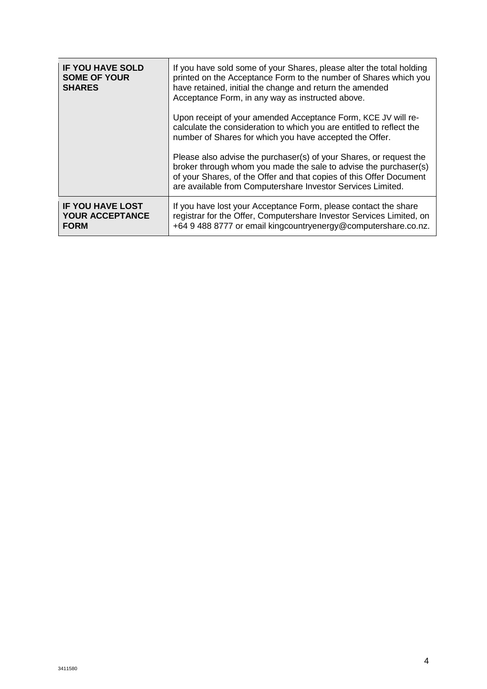| <b>IF YOU HAVE SOLD</b><br><b>SOME OF YOUR</b><br><b>SHARES</b>  | If you have sold some of your Shares, please alter the total holding<br>printed on the Acceptance Form to the number of Shares which you<br>have retained, initial the change and return the amended<br>Acceptance Form, in any way as instructed above.                     |
|------------------------------------------------------------------|------------------------------------------------------------------------------------------------------------------------------------------------------------------------------------------------------------------------------------------------------------------------------|
|                                                                  | Upon receipt of your amended Acceptance Form, KCE JV will re-<br>calculate the consideration to which you are entitled to reflect the<br>number of Shares for which you have accepted the Offer.                                                                             |
|                                                                  | Please also advise the purchaser(s) of your Shares, or request the<br>broker through whom you made the sale to advise the purchaser(s)<br>of your Shares, of the Offer and that copies of this Offer Document<br>are available from Computershare Investor Services Limited. |
| <b>IF YOU HAVE LOST</b><br><b>YOUR ACCEPTANCE</b><br><b>FORM</b> | If you have lost your Acceptance Form, please contact the share<br>registrar for the Offer, Computershare Investor Services Limited, on<br>+64 9 488 8777 or email kingcountryenergy@computershare.co.nz.                                                                    |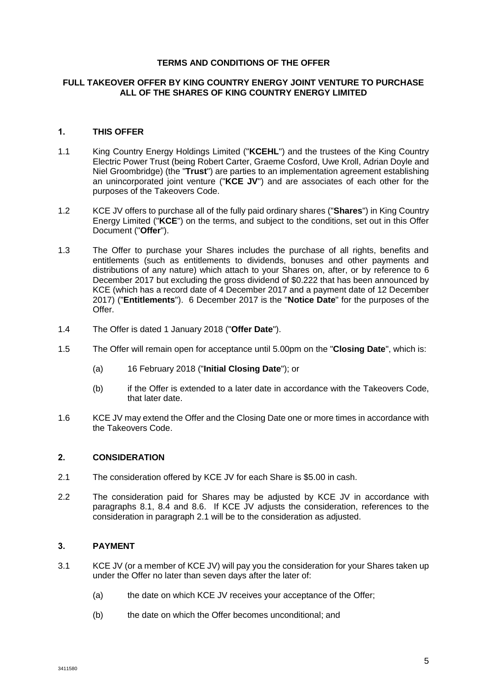## **TERMS AND CONDITIONS OF THE OFFER**

### **FULL TAKEOVER OFFER BY KING COUNTRY ENERGY JOINT VENTURE TO PURCHASE ALL OF THE SHARES OF KING COUNTRY ENERGY LIMITED**

# **1. THIS OFFER**

- 1.1 King Country Energy Holdings Limited ("**KCEHL**") and the trustees of the King Country Electric Power Trust (being Robert Carter, Graeme Cosford, Uwe Kroll, Adrian Doyle and Niel Groombridge) (the "**Trust**") are parties to an implementation agreement establishing an unincorporated joint venture ("**KCE JV**") and are associates of each other for the purposes of the Takeovers Code.
- 1.2 KCE JV offers to purchase all of the fully paid ordinary shares ("**Shares**") in King Country Energy Limited ("**KCE**") on the terms, and subject to the conditions, set out in this Offer Document ("**Offer**").
- 1.3 The Offer to purchase your Shares includes the purchase of all rights, benefits and entitlements (such as entitlements to dividends, bonuses and other payments and distributions of any nature) which attach to your Shares on, after, or by reference to 6 December 2017 but excluding the gross dividend of \$0.222 that has been announced by KCE (which has a record date of 4 December 2017 and a payment date of 12 December 2017) ("**Entitlements**"). 6 December 2017 is the "**Notice Date**" for the purposes of the Offer.
- 1.4 The Offer is dated 1 January 2018 ("**Offer Date**").
- <span id="page-5-0"></span>1.5 The Offer will remain open for acceptance until 5.00pm on the "**Closing Date**", which is:
	- (a) 16 February 2018 ("**Initial Closing Date**"); or
	- (b) if the Offer is extended to a later date in accordance with the Takeovers Code, that later date.
- 1.6 KCE JV may extend the Offer and the Closing Date one or more times in accordance with the Takeovers Code.

#### **2. CONSIDERATION**

- <span id="page-5-1"></span>2.1 The consideration offered by KCE JV for each Share is \$5.00 in cash.
- 2.2 The consideration paid for Shares may be adjusted by KCE JV in accordance with paragraphs [8.1,](#page-13-0) [8.4](#page-13-1) and [8.6.](#page-14-0) If KCE JV adjusts the consideration, references to the consideration in paragraph [2.1](#page-5-1) will be to the consideration as adjusted.

# <span id="page-5-3"></span>**3. PAYMENT**

- <span id="page-5-2"></span>3.1 KCE JV (or a member of KCE JV) will pay you the consideration for your Shares taken up under the Offer no later than seven days after the later of:
	- (a) the date on which KCE JV receives your acceptance of the Offer;
	- (b) the date on which the Offer becomes unconditional; and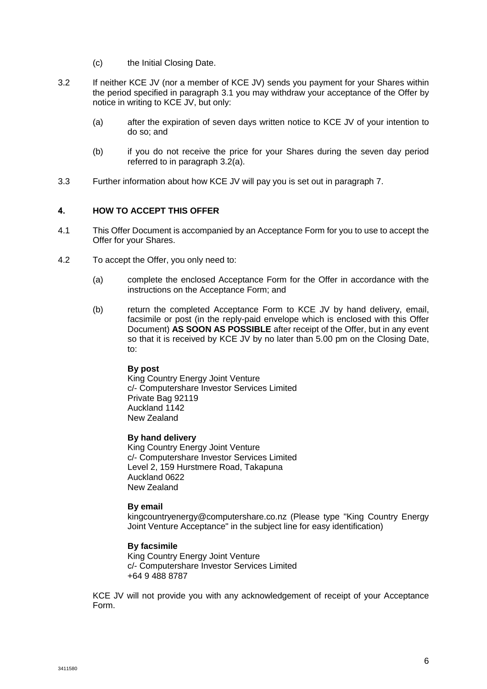- (c) the Initial Closing Date.
- <span id="page-6-1"></span><span id="page-6-0"></span>3.2 If neither KCE JV (nor a member of KCE JV) sends you payment for your Shares within the period specified in paragraph [3.1](#page-5-2) you may withdraw your acceptance of the Offer by notice in writing to KCE JV, but only:
	- (a) after the expiration of seven days written notice to KCE JV of your intention to do so; and
	- (b) if you do not receive the price for your Shares during the seven day period referred to in paragraph [3.2\(a\).](#page-6-0)
- 3.3 Further information about how KCE JV will pay you is set out in paragraph [7.](#page-12-0)

# **4. HOW TO ACCEPT THIS OFFER**

- 4.1 This Offer Document is accompanied by an Acceptance Form for you to use to accept the Offer for your Shares.
- 4.2 To accept the Offer, you only need to:
	- (a) complete the enclosed Acceptance Form for the Offer in accordance with the instructions on the Acceptance Form; and
	- (b) return the completed Acceptance Form to KCE JV by hand delivery, email, facsimile or post (in the reply-paid envelope which is enclosed with this Offer Document) **AS SOON AS POSSIBLE** after receipt of the Offer, but in any event so that it is received by KCE JV by no later than 5.00 pm on the Closing Date, to:

#### **By post**

King Country Energy Joint Venture c/- Computershare Investor Services Limited Private Bag 92119 Auckland 1142 New Zealand

### **By hand delivery**

King Country Energy Joint Venture c/- Computershare Investor Services Limited Level 2, 159 Hurstmere Road, Takapuna Auckland 0622 New Zealand

#### **By email**

kingcountryenergy@computershare.co.nz (Please type "King Country Energy Joint Venture Acceptance" in the subject line for easy identification)

#### **By facsimile**

King Country Energy Joint Venture c/- Computershare Investor Services Limited +64 9 488 8787

KCE JV will not provide you with any acknowledgement of receipt of your Acceptance Form.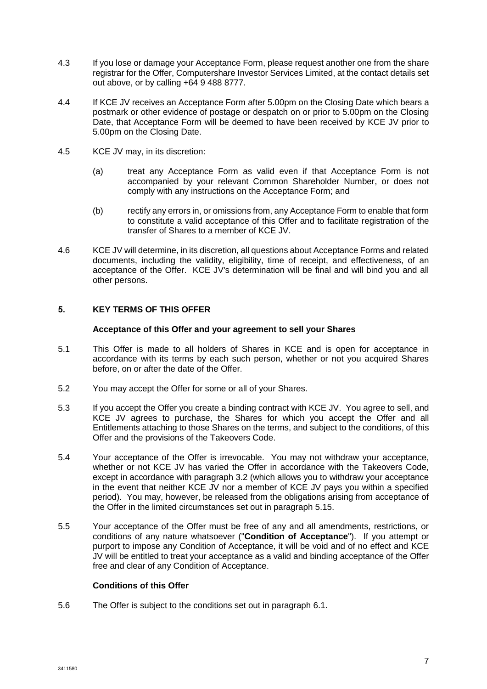- 4.3 If you lose or damage your Acceptance Form, please request another one from the share registrar for the Offer, Computershare Investor Services Limited, at the contact details set out above, or by calling +64 9 488 8777.
- 4.4 If KCE JV receives an Acceptance Form after 5.00pm on the Closing Date which bears a postmark or other evidence of postage or despatch on or prior to 5.00pm on the Closing Date, that Acceptance Form will be deemed to have been received by KCE JV prior to 5.00pm on the Closing Date.
- <span id="page-7-0"></span>4.5 KCE JV may, in its discretion:
	- (a) treat any Acceptance Form as valid even if that Acceptance Form is not accompanied by your relevant Common Shareholder Number, or does not comply with any instructions on the Acceptance Form; and
	- (b) rectify any errors in, or omissions from, any Acceptance Form to enable that form to constitute a valid acceptance of this Offer and to facilitate registration of the transfer of Shares to a member of KCE JV.
- 4.6 KCE JV will determine, in its discretion, all questions about Acceptance Forms and related documents, including the validity, eligibility, time of receipt, and effectiveness, of an acceptance of the Offer. KCE JV's determination will be final and will bind you and all other persons.

# **5. KEY TERMS OF THIS OFFER**

#### **Acceptance of this Offer and your agreement to sell your Shares**

- 5.1 This Offer is made to all holders of Shares in KCE and is open for acceptance in accordance with its terms by each such person, whether or not you acquired Shares before, on or after the date of the Offer.
- 5.2 You may accept the Offer for some or all of your Shares.
- 5.3 If you accept the Offer you create a binding contract with KCE JV. You agree to sell, and KCE JV agrees to purchase, the Shares for which you accept the Offer and all Entitlements attaching to those Shares on the terms, and subject to the conditions, of this Offer and the provisions of the Takeovers Code.
- 5.4 Your acceptance of the Offer is irrevocable. You may not withdraw your acceptance, whether or not KCE JV has varied the Offer in accordance with the Takeovers Code, except in accordance with paragraph [3.2](#page-6-1) (which allows you to withdraw your acceptance in the event that neither KCE JV nor a member of KCE JV pays you within a specified period). You may, however, be released from the obligations arising from acceptance of the Offer in the limited circumstances set out in paragraph [5.15.](#page-9-1)
- 5.5 Your acceptance of the Offer must be free of any and all amendments, restrictions, or conditions of any nature whatsoever ("**Condition of Acceptance**"). If you attempt or purport to impose any Condition of Acceptance, it will be void and of no effect and KCE JV will be entitled to treat your acceptance as a valid and binding acceptance of the Offer free and clear of any Condition of Acceptance.

# **Conditions of this Offer**

5.6 The Offer is subject to the conditions set out in paragraph [6.1.](#page-9-2)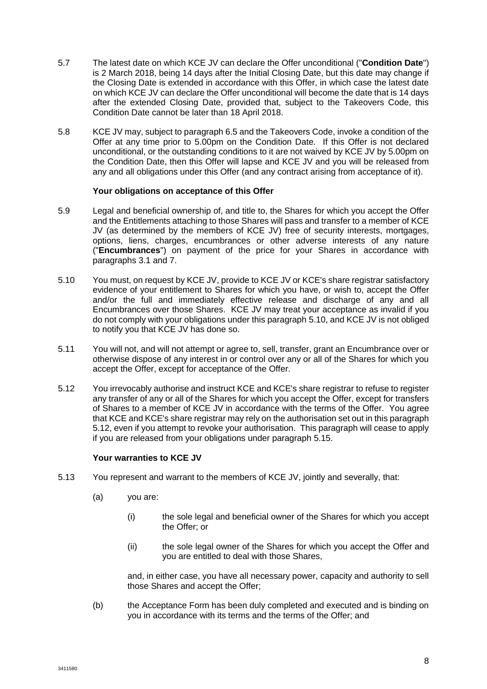- <span id="page-8-0"></span>5.7 The latest date on which KCE JV can declare the Offer unconditional ("**Condition Date**") is 2 March 2018, being 14 days after the Initial Closing Date, but this date may change if the Closing Date is extended in accordance with this Offer, in which case the latest date on which KCE JV can declare the Offer unconditional will become the date that is 14 days after the extended Closing Date, provided that, subject to the Takeovers Code, this Condition Date cannot be later than 18 April 2018.
- 5.8 KCE JV may, subject to paragraph [6.5](#page-12-1) and the Takeovers Code, invoke a condition of the Offer at any time prior to 5.00pm on the Condition Date. If this Offer is not declared unconditional, or the outstanding conditions to it are not waived by KCE JV by 5.00pm on the Condition Date, then this Offer will lapse and KCE JV and you will be released from any and all obligations under this Offer (and any contract arising from acceptance of it).

#### **Your obligations on acceptance of this Offer**

- <span id="page-8-3"></span>5.9 Legal and beneficial ownership of, and title to, the Shares for which you accept the Offer and the Entitlements attaching to those Shares will pass and transfer to a member of KCE JV (as determined by the members of KCE JV) free of security interests, mortgages, options, liens, charges, encumbrances or other adverse interests of any nature ("**Encumbrances**") on payment of the price for your Shares in accordance with paragraphs [3.1](#page-5-2) and [7.](#page-12-0)
- <span id="page-8-1"></span>5.10 You must, on request by KCE JV, provide to KCE JV or KCE's share registrar satisfactory evidence of your entitlement to Shares for which you have, or wish to, accept the Offer and/or the full and immediately effective release and discharge of any and all Encumbrances over those Shares. KCE JV may treat your acceptance as invalid if you do not comply with your obligations under this paragraph [5.10,](#page-8-1) and KCE JV is not obliged to notify you that KCE JV has done so.
- 5.11 You will not, and will not attempt or agree to, sell, transfer, grant an Encumbrance over or otherwise dispose of any interest in or control over any or all of the Shares for which you accept the Offer, except for acceptance of the Offer.
- <span id="page-8-2"></span>5.12 You irrevocably authorise and instruct KCE and KCE's share registrar to refuse to register any transfer of any or all of the Shares for which you accept the Offer, except for transfers of Shares to a member of KCE JV in accordance with the terms of the Offer. You agree that KCE and KCE's share registrar may rely on the authorisation set out in this paragraph [5.12,](#page-8-2) even if you attempt to revoke your authorisation. This paragraph will cease to apply if you are released from your obligations under paragraph [5.15.](#page-9-1)

#### **Your warranties to KCE JV**

- 5.13 You represent and warrant to the members of KCE JV, jointly and severally, that:
	- (a) you are:
		- (i) the sole legal and beneficial owner of the Shares for which you accept the Offer; or
		- (ii) the sole legal owner of the Shares for which you accept the Offer and you are entitled to deal with those Shares,

and, in either case, you have all necessary power, capacity and authority to sell those Shares and accept the Offer;

(b) the Acceptance Form has been duly completed and executed and is binding on you in accordance with its terms and the terms of the Offer; and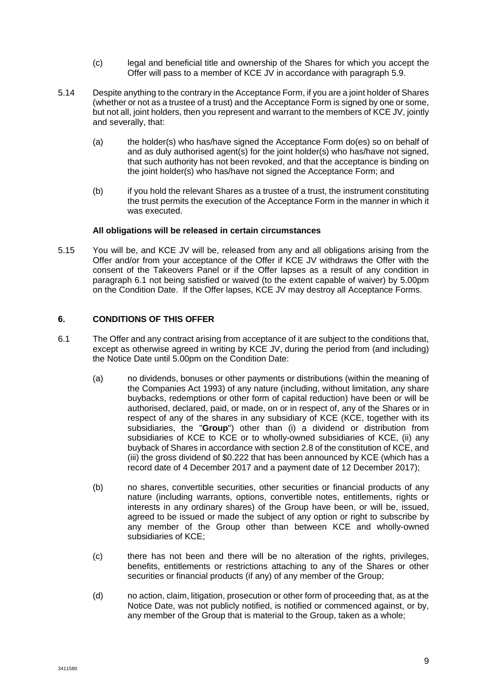- (c) legal and beneficial title and ownership of the Shares for which you accept the Offer will pass to a member of KCE JV in accordance with paragraph [5.9.](#page-8-3)
- 5.14 Despite anything to the contrary in the Acceptance Form, if you are a joint holder of Shares (whether or not as a trustee of a trust) and the Acceptance Form is signed by one or some, but not all, joint holders, then you represent and warrant to the members of KCE JV, jointly and severally, that:
	- (a) the holder(s) who has/have signed the Acceptance Form do(es) so on behalf of and as duly authorised agent(s) for the joint holder(s) who has/have not signed, that such authority has not been revoked, and that the acceptance is binding on the joint holder(s) who has/have not signed the Acceptance Form; and
	- (b) if you hold the relevant Shares as a trustee of a trust, the instrument constituting the trust permits the execution of the Acceptance Form in the manner in which it was executed.

#### **All obligations will be released in certain circumstances**

<span id="page-9-1"></span>5.15 You will be, and KCE JV will be, released from any and all obligations arising from the Offer and/or from your acceptance of the Offer if KCE JV withdraws the Offer with the consent of the Takeovers Panel or if the Offer lapses as a result of any condition in paragraph [6.1](#page-9-2) not being satisfied or waived (to the extent capable of waiver) by 5.00pm on the Condition Date. If the Offer lapses, KCE JV may destroy all Acceptance Forms.

#### <span id="page-9-0"></span>**6. CONDITIONS OF THIS OFFER**

- <span id="page-9-4"></span><span id="page-9-3"></span><span id="page-9-2"></span>6.1 The Offer and any contract arising from acceptance of it are subject to the conditions that, except as otherwise agreed in writing by KCE JV, during the period from (and including) the Notice Date until 5.00pm on the Condition Date:
	- (a) no dividends, bonuses or other payments or distributions (within the meaning of the Companies Act 1993) of any nature (including, without limitation, any share buybacks, redemptions or other form of capital reduction) have been or will be authorised, declared, paid, or made, on or in respect of, any of the Shares or in respect of any of the shares in any subsidiary of KCE (KCE, together with its subsidiaries, the "**Group**") other than (i) a dividend or distribution from subsidiaries of KCE to KCE or to wholly-owned subsidiaries of KCE, (ii) any buyback of Shares in accordance with section 2.8 of the constitution of KCE, and (iii) the gross dividend of \$0.222 that has been announced by KCE (which has a record date of 4 December 2017 and a payment date of 12 December 2017);
	- (b) no shares, convertible securities, other securities or financial products of any nature (including warrants, options, convertible notes, entitlements, rights or interests in any ordinary shares) of the Group have been, or will be, issued, agreed to be issued or made the subject of any option or right to subscribe by any member of the Group other than between KCE and wholly-owned subsidiaries of KCE;
	- (c) there has not been and there will be no alteration of the rights, privileges, benefits, entitlements or restrictions attaching to any of the Shares or other securities or financial products (if any) of any member of the Group;
	- (d) no action, claim, litigation, prosecution or other form of proceeding that, as at the Notice Date, was not publicly notified, is notified or commenced against, or by, any member of the Group that is material to the Group, taken as a whole;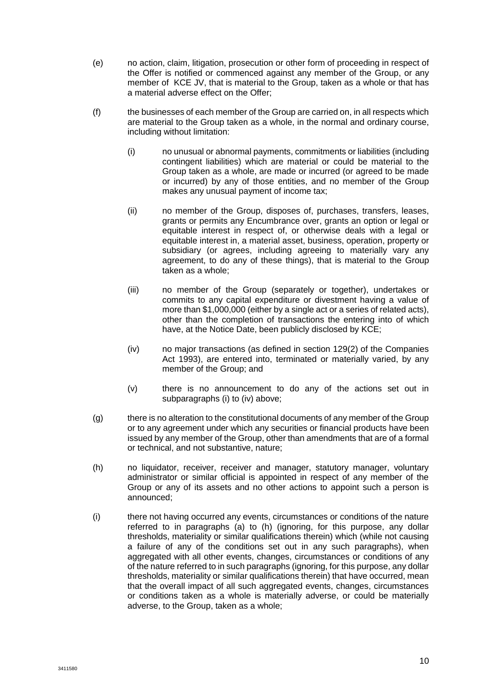- (e) no action, claim, litigation, prosecution or other form of proceeding in respect of the Offer is notified or commenced against any member of the Group, or any member of KCE JV, that is material to the Group, taken as a whole or that has a material adverse effect on the Offer;
- (f) the businesses of each member of the Group are carried on, in all respects which are material to the Group taken as a whole, in the normal and ordinary course, including without limitation:
	- (i) no unusual or abnormal payments, commitments or liabilities (including contingent liabilities) which are material or could be material to the Group taken as a whole, are made or incurred (or agreed to be made or incurred) by any of those entities, and no member of the Group makes any unusual payment of income tax;
	- (ii) no member of the Group, disposes of, purchases, transfers, leases, grants or permits any Encumbrance over, grants an option or legal or equitable interest in respect of, or otherwise deals with a legal or equitable interest in, a material asset, business, operation, property or subsidiary (or agrees, including agreeing to materially vary any agreement, to do any of these things), that is material to the Group taken as a whole;
	- (iii) no member of the Group (separately or together), undertakes or commits to any capital expenditure or divestment having a value of more than \$1,000,000 (either by a single act or a series of related acts), other than the completion of transactions the entering into of which have, at the Notice Date, been publicly disclosed by KCE;
	- (iv) no major transactions (as defined in section 129(2) of the Companies Act 1993), are entered into, terminated or materially varied, by any member of the Group; and
	- (v) there is no announcement to do any of the actions set out in subparagraphs (i) to (iv) above;
- (g) there is no alteration to the constitutional documents of any member of the Group or to any agreement under which any securities or financial products have been issued by any member of the Group, other than amendments that are of a formal or technical, and not substantive, nature;
- <span id="page-10-0"></span>(h) no liquidator, receiver, receiver and manager, statutory manager, voluntary administrator or similar official is appointed in respect of any member of the Group or any of its assets and no other actions to appoint such a person is announced;
- (i) there not having occurred any events, circumstances or conditions of the nature referred to in paragraphs [\(a\)](#page-9-3) to [\(h\)](#page-10-0) (ignoring, for this purpose, any dollar thresholds, materiality or similar qualifications therein) which (while not causing a failure of any of the conditions set out in any such paragraphs), when aggregated with all other events, changes, circumstances or conditions of any of the nature referred to in such paragraphs (ignoring, for this purpose, any dollar thresholds, materiality or similar qualifications therein) that have occurred, mean that the overall impact of all such aggregated events, changes, circumstances or conditions taken as a whole is materially adverse, or could be materially adverse, to the Group, taken as a whole;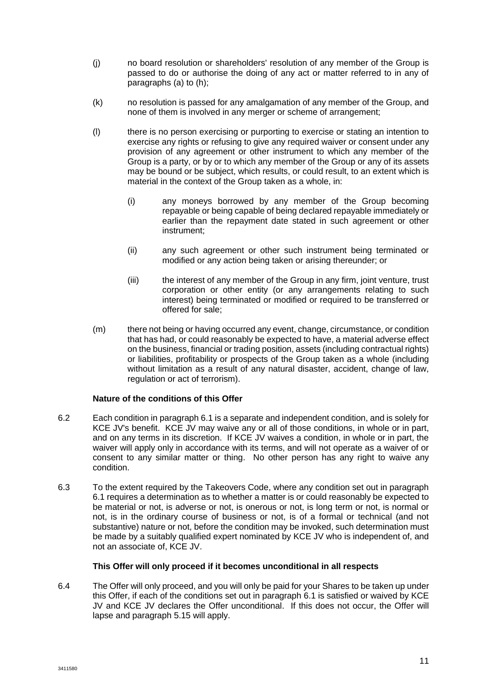- (j) no board resolution or shareholders' resolution of any member of the Group is passed to do or authorise the doing of any act or matter referred to in any of paragraphs [\(a\)](#page-9-3) to [\(h\);](#page-10-0)
- (k) no resolution is passed for any amalgamation of any member of the Group, and none of them is involved in any merger or scheme of arrangement;
- (l) there is no person exercising or purporting to exercise or stating an intention to exercise any rights or refusing to give any required waiver or consent under any provision of any agreement or other instrument to which any member of the Group is a party, or by or to which any member of the Group or any of its assets may be bound or be subject, which results, or could result, to an extent which is material in the context of the Group taken as a whole, in:
	- (i) any moneys borrowed by any member of the Group becoming repayable or being capable of being declared repayable immediately or earlier than the repayment date stated in such agreement or other instrument;
	- (ii) any such agreement or other such instrument being terminated or modified or any action being taken or arising thereunder; or
	- (iii) the interest of any member of the Group in any firm, joint venture, trust corporation or other entity (or any arrangements relating to such interest) being terminated or modified or required to be transferred or offered for sale;
- (m) there not being or having occurred any event, change, circumstance, or condition that has had, or could reasonably be expected to have, a material adverse effect on the business, financial or trading position, assets (including contractual rights) or liabilities, profitability or prospects of the Group taken as a whole (including without limitation as a result of any natural disaster, accident, change of law, regulation or act of terrorism).

# **Nature of the conditions of this Offer**

- 6.2 Each condition in paragraph [6.1](#page-9-2) is a separate and independent condition, and is solely for KCE JV's benefit. KCE JV may waive any or all of those conditions, in whole or in part, and on any terms in its discretion. If KCE JV waives a condition, in whole or in part, the waiver will apply only in accordance with its terms, and will not operate as a waiver of or consent to any similar matter or thing. No other person has any right to waive any condition.
- 6.3 To the extent required by the Takeovers Code, where any condition set out in paragraph [6.1](#page-9-2) requires a determination as to whether a matter is or could reasonably be expected to be material or not, is adverse or not, is onerous or not, is long term or not, is normal or not, is in the ordinary course of business or not, is of a formal or technical (and not substantive) nature or not, before the condition may be invoked, such determination must be made by a suitably qualified expert nominated by KCE JV who is independent of, and not an associate of, KCE JV.

#### **This Offer will only proceed if it becomes unconditional in all respects**

6.4 The Offer will only proceed, and you will only be paid for your Shares to be taken up under this Offer, if each of the conditions set out in paragraph [6.1](#page-9-2) is satisfied or waived by KCE JV and KCE JV declares the Offer unconditional. If this does not occur, the Offer will lapse and paragraph [5.15](#page-9-1) will apply.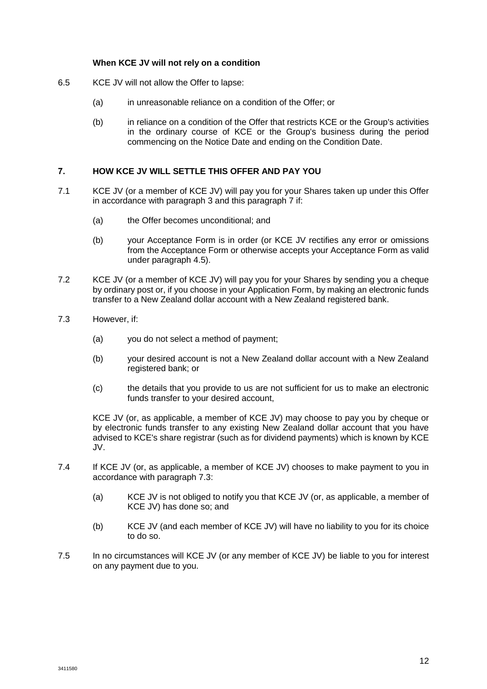#### **When KCE JV will not rely on a condition**

- <span id="page-12-1"></span>6.5 KCE JV will not allow the Offer to lapse:
	- (a) in unreasonable reliance on a condition of the Offer; or
	- (b) in reliance on a condition of the Offer that restricts KCE or the Group's activities in the ordinary course of KCE or the Group's business during the period commencing on the Notice Date and ending on the Condition Date.

#### <span id="page-12-0"></span>**7. HOW KCE JV WILL SETTLE THIS OFFER AND PAY YOU**

- 7.1 KCE JV (or a member of KCE JV) will pay you for your Shares taken up under this Offer in accordance with paragraph [3](#page-5-3) and this paragraph [7](#page-12-0) if:
	- (a) the Offer becomes unconditional; and
	- (b) your Acceptance Form is in order (or KCE JV rectifies any error or omissions from the Acceptance Form or otherwise accepts your Acceptance Form as valid under paragraph [4.5\)](#page-7-0).
- 7.2 KCE JV (or a member of KCE JV) will pay you for your Shares by sending you a cheque by ordinary post or, if you choose in your Application Form, by making an electronic funds transfer to a New Zealand dollar account with a New Zealand registered bank.
- <span id="page-12-2"></span>7.3 However, if:
	- (a) you do not select a method of payment;
	- (b) your desired account is not a New Zealand dollar account with a New Zealand registered bank; or
	- (c) the details that you provide to us are not sufficient for us to make an electronic funds transfer to your desired account,

KCE JV (or, as applicable, a member of KCE JV) may choose to pay you by cheque or by electronic funds transfer to any existing New Zealand dollar account that you have advised to KCE's share registrar (such as for dividend payments) which is known by KCE JV.

- 7.4 If KCE JV (or, as applicable, a member of KCE JV) chooses to make payment to you in accordance with paragraph [7.3:](#page-12-2)
	- (a) KCE JV is not obliged to notify you that KCE JV (or, as applicable, a member of KCE JV) has done so; and
	- (b) KCE JV (and each member of KCE JV) will have no liability to you for its choice to do so.
- 7.5 In no circumstances will KCE JV (or any member of KCE JV) be liable to you for interest on any payment due to you.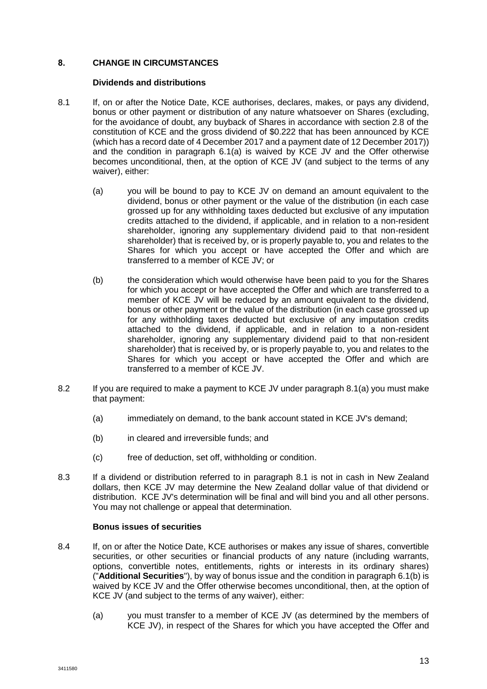# **8. CHANGE IN CIRCUMSTANCES**

#### **Dividends and distributions**

- <span id="page-13-2"></span><span id="page-13-0"></span>8.1 If, on or after the Notice Date, KCE authorises, declares, makes, or pays any dividend, bonus or other payment or distribution of any nature whatsoever on Shares (excluding, for the avoidance of doubt, any buyback of Shares in accordance with section 2.8 of the constitution of KCE and the gross dividend of \$0.222 that has been announced by KCE (which has a record date of 4 December 2017 and a payment date of 12 December 2017)) and the condition in paragraph [6.1\(a\)](#page-9-3) is waived by KCE JV and the Offer otherwise becomes unconditional, then, at the option of KCE JV (and subject to the terms of any waiver), either:
	- (a) you will be bound to pay to KCE JV on demand an amount equivalent to the dividend, bonus or other payment or the value of the distribution (in each case grossed up for any withholding taxes deducted but exclusive of any imputation credits attached to the dividend, if applicable, and in relation to a non-resident shareholder, ignoring any supplementary dividend paid to that non-resident shareholder) that is received by, or is properly payable to, you and relates to the Shares for which you accept or have accepted the Offer and which are transferred to a member of KCE JV; or
	- (b) the consideration which would otherwise have been paid to you for the Shares for which you accept or have accepted the Offer and which are transferred to a member of KCE JV will be reduced by an amount equivalent to the dividend, bonus or other payment or the value of the distribution (in each case grossed up for any withholding taxes deducted but exclusive of any imputation credits attached to the dividend, if applicable, and in relation to a non-resident shareholder, ignoring any supplementary dividend paid to that non-resident shareholder) that is received by, or is properly payable to, you and relates to the Shares for which you accept or have accepted the Offer and which are transferred to a member of KCE JV.
- 8.2 If you are required to make a payment to KCE JV under paragraph [8.1\(a\)](#page-13-2) you must make that payment:
	- (a) immediately on demand, to the bank account stated in KCE JV's demand;
	- (b) in cleared and irreversible funds; and
	- (c) free of deduction, set off, withholding or condition.
- 8.3 If a dividend or distribution referred to in paragraph [8.1](#page-13-0) is not in cash in New Zealand dollars, then KCE JV may determine the New Zealand dollar value of that dividend or distribution. KCE JV's determination will be final and will bind you and all other persons. You may not challenge or appeal that determination.

#### **Bonus issues of securities**

- <span id="page-13-1"></span>8.4 If, on or after the Notice Date, KCE authorises or makes any issue of shares, convertible securities, or other securities or financial products of any nature (including warrants, options, convertible notes, entitlements, rights or interests in its ordinary shares) ("**Additional Securities**"), by way of bonus issue and the condition in paragrap[h 6.1\(b\)](#page-9-4) is waived by KCE JV and the Offer otherwise becomes unconditional, then, at the option of KCE JV (and subject to the terms of any waiver), either:
	- (a) you must transfer to a member of KCE JV (as determined by the members of KCE JV), in respect of the Shares for which you have accepted the Offer and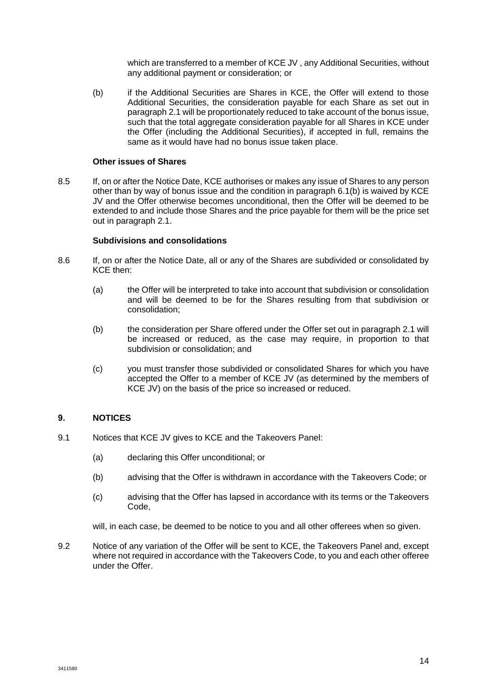which are transferred to a member of KCE JV , any Additional Securities, without any additional payment or consideration; or

(b) if the Additional Securities are Shares in KCE, the Offer will extend to those Additional Securities, the consideration payable for each Share as set out in paragraph [2.1](#page-5-1) will be proportionately reduced to take account of the bonus issue, such that the total aggregate consideration payable for all Shares in KCE under the Offer (including the Additional Securities), if accepted in full, remains the same as it would have had no bonus issue taken place.

#### **Other issues of Shares**

8.5 If, on or after the Notice Date, KCE authorises or makes any issue of Shares to any person other than by way of bonus issue and the condition in paragraph [6.1\(b\)](#page-9-4) is waived by KCE JV and the Offer otherwise becomes unconditional, then the Offer will be deemed to be extended to and include those Shares and the price payable for them will be the price set out in paragraph [2.1.](#page-5-1)

#### **Subdivisions and consolidations**

- <span id="page-14-0"></span>8.6 If, on or after the Notice Date, all or any of the Shares are subdivided or consolidated by KCE then:
	- (a) the Offer will be interpreted to take into account that subdivision or consolidation and will be deemed to be for the Shares resulting from that subdivision or consolidation;
	- (b) the consideration per Share offered under the Offer set out in paragraph [2.1](#page-5-1) will be increased or reduced, as the case may require, in proportion to that subdivision or consolidation; and
	- (c) you must transfer those subdivided or consolidated Shares for which you have accepted the Offer to a member of KCE JV (as determined by the members of KCE JV) on the basis of the price so increased or reduced.

#### **9. NOTICES**

- 9.1 Notices that KCE JV gives to KCE and the Takeovers Panel:
	- (a) declaring this Offer unconditional; or
	- (b) advising that the Offer is withdrawn in accordance with the Takeovers Code; or
	- (c) advising that the Offer has lapsed in accordance with its terms or the Takeovers Code,
	- will, in each case, be deemed to be notice to you and all other offerees when so given.
- 9.2 Notice of any variation of the Offer will be sent to KCE, the Takeovers Panel and, except where not required in accordance with the Takeovers Code, to you and each other offeree under the Offer.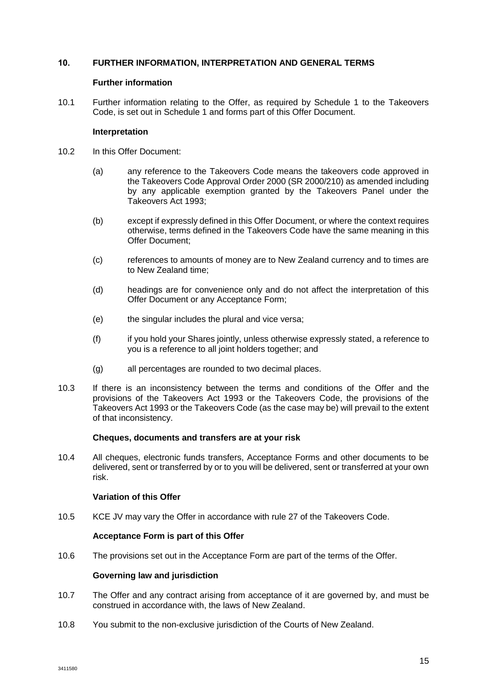### **10. FURTHER INFORMATION, INTERPRETATION AND GENERAL TERMS**

#### **Further information**

10.1 Further information relating to the Offer, as required by Schedule 1 to the Takeovers Code, is set out in Schedule 1 and forms part of this Offer Document.

#### **Interpretation**

- 10.2 In this Offer Document:
	- (a) any reference to the Takeovers Code means the takeovers code approved in the Takeovers Code Approval Order 2000 (SR 2000/210) as amended including by any applicable exemption granted by the Takeovers Panel under the Takeovers Act 1993;
	- (b) except if expressly defined in this Offer Document, or where the context requires otherwise, terms defined in the Takeovers Code have the same meaning in this Offer Document;
	- (c) references to amounts of money are to New Zealand currency and to times are to New Zealand time;
	- (d) headings are for convenience only and do not affect the interpretation of this Offer Document or any Acceptance Form;
	- (e) the singular includes the plural and vice versa;
	- (f) if you hold your Shares jointly, unless otherwise expressly stated, a reference to you is a reference to all joint holders together; and
	- (g) all percentages are rounded to two decimal places.
- 10.3 If there is an inconsistency between the terms and conditions of the Offer and the provisions of the Takeovers Act 1993 or the Takeovers Code, the provisions of the Takeovers Act 1993 or the Takeovers Code (as the case may be) will prevail to the extent of that inconsistency.

#### **Cheques, documents and transfers are at your risk**

10.4 All cheques, electronic funds transfers, Acceptance Forms and other documents to be delivered, sent or transferred by or to you will be delivered, sent or transferred at your own risk.

### **Variation of this Offer**

10.5 KCE JV may vary the Offer in accordance with rule 27 of the Takeovers Code.

#### **Acceptance Form is part of this Offer**

10.6 The provisions set out in the Acceptance Form are part of the terms of the Offer.

#### **Governing law and jurisdiction**

- 10.7 The Offer and any contract arising from acceptance of it are governed by, and must be construed in accordance with, the laws of New Zealand.
- 10.8 You submit to the non-exclusive jurisdiction of the Courts of New Zealand.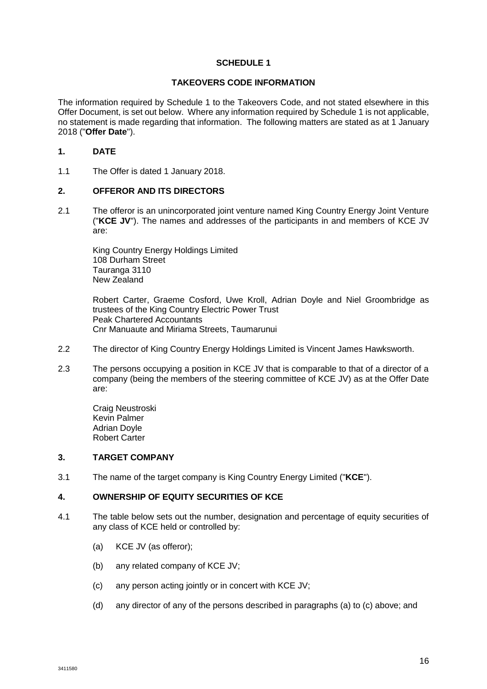# **SCHEDULE 1**

#### **TAKEOVERS CODE INFORMATION**

The information required by Schedule 1 to the Takeovers Code, and not stated elsewhere in this Offer Document, is set out below. Where any information required by Schedule 1 is not applicable, no statement is made regarding that information. The following matters are stated as at 1 January 2018 ("**Offer Date**").

# **1. DATE**

1.1 The Offer is dated 1 January 2018.

# **2. OFFEROR AND ITS DIRECTORS**

2.1 The offeror is an unincorporated joint venture named King Country Energy Joint Venture ("**KCE JV**"). The names and addresses of the participants in and members of KCE JV are:

King Country Energy Holdings Limited 108 Durham Street Tauranga 3110 New Zealand

Robert Carter, Graeme Cosford, Uwe Kroll, Adrian Doyle and Niel Groombridge as trustees of the King Country Electric Power Trust Peak Chartered Accountants Cnr Manuaute and Miriama Streets, Taumarunui

- 2.2 The director of King Country Energy Holdings Limited is Vincent James Hawksworth.
- 2.3 The persons occupying a position in KCE JV that is comparable to that of a director of a company (being the members of the steering committee of KCE JV) as at the Offer Date are:

Craig Neustroski Kevin Palmer Adrian Doyle Robert Carter

#### **3. TARGET COMPANY**

3.1 The name of the target company is King Country Energy Limited ("**KCE**").

# **4. OWNERSHIP OF EQUITY SECURITIES OF KCE**

- <span id="page-16-2"></span><span id="page-16-1"></span><span id="page-16-0"></span>4.1 The table below sets out the number, designation and percentage of equity securities of any class of KCE held or controlled by:
	- (a) KCE JV (as offeror);
	- (b) any related company of KCE JV;
	- (c) any person acting jointly or in concert with KCE JV;
	- (d) any director of any of the persons described in paragraphs (a) to (c) above; and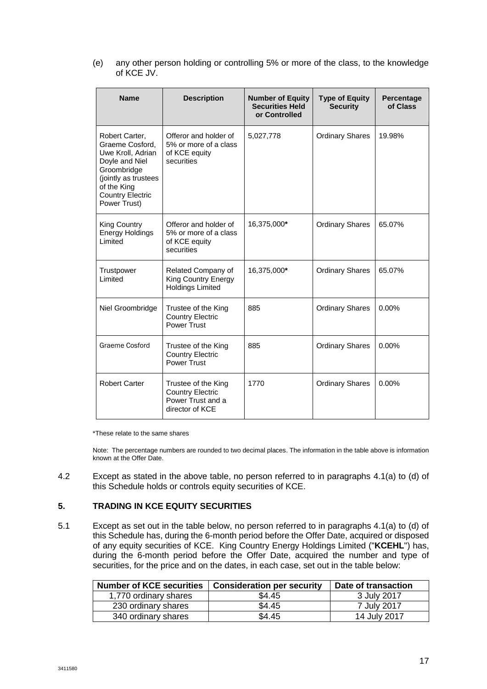(e) any other person holding or controlling 5% or more of the class, to the knowledge of KCE JV.

| <b>Name</b>                                                                                                                                                               | <b>Description</b>                                                                     | <b>Number of Equity</b><br><b>Securities Held</b><br>or Controlled | <b>Type of Equity</b><br><b>Security</b> | Percentage<br>of Class |
|---------------------------------------------------------------------------------------------------------------------------------------------------------------------------|----------------------------------------------------------------------------------------|--------------------------------------------------------------------|------------------------------------------|------------------------|
| Robert Carter,<br>Graeme Cosford.<br>Uwe Kroll, Adrian<br>Doyle and Niel<br>Groombridge<br>(jointly as trustees<br>of the King<br><b>Country Electric</b><br>Power Trust) | Offeror and holder of<br>5% or more of a class<br>of KCE equity<br>securities          | 5,027,778                                                          | <b>Ordinary Shares</b>                   | 19.98%                 |
| King Country<br>Energy Holdings<br>Limited                                                                                                                                | Offeror and holder of<br>5% or more of a class<br>of KCE equity<br>securities          | 16,375,000*                                                        | <b>Ordinary Shares</b>                   | 65.07%                 |
| Trustpower<br>Limited                                                                                                                                                     | Related Company of<br><b>King Country Energy</b><br><b>Holdings Limited</b>            | 16,375,000*                                                        | <b>Ordinary Shares</b>                   | 65.07%                 |
| Niel Groombridge                                                                                                                                                          | Trustee of the King<br><b>Country Electric</b><br>Power Trust                          | 885                                                                | <b>Ordinary Shares</b>                   | $0.00\%$               |
| Graeme Cosford                                                                                                                                                            | Trustee of the King<br><b>Country Electric</b><br>Power Trust                          | 885                                                                | <b>Ordinary Shares</b>                   | 0.00%                  |
| <b>Robert Carter</b>                                                                                                                                                      | Trustee of the King<br><b>Country Electric</b><br>Power Trust and a<br>director of KCE | 1770                                                               | <b>Ordinary Shares</b>                   | 0.00%                  |

\*These relate to the same shares

Note: The percentage numbers are rounded to two decimal places. The information in the table above is information known at the Offer Date.

4.2 Except as stated in the above table, no person referred to in paragraphs [4.1\(a\)](#page-16-0) to [\(d\)](#page-16-1) of this Schedule holds or controls equity securities of KCE.

# **5. TRADING IN KCE EQUITY SECURITIES**

5.1 Except as set out in the table below, no person referred to in paragraphs [4.1\(](#page-16-2)a) to (d) of this Schedule has, during the 6-month period before the Offer Date, acquired or disposed of any equity securities of KCE. King Country Energy Holdings Limited ("**KCEHL**") has, during the 6-month period before the Offer Date, acquired the number and type of securities, for the price and on the dates, in each case, set out in the table below:

| <b>Number of KCE securities</b> | <b>Consideration per security</b> | Date of transaction |
|---------------------------------|-----------------------------------|---------------------|
| 1,770 ordinary shares           | \$4.45                            | 3 July 2017         |
| 230 ordinary shares             | \$4.45                            | 7 July 2017         |
| 340 ordinary shares             | \$4.45                            | 14 July 2017        |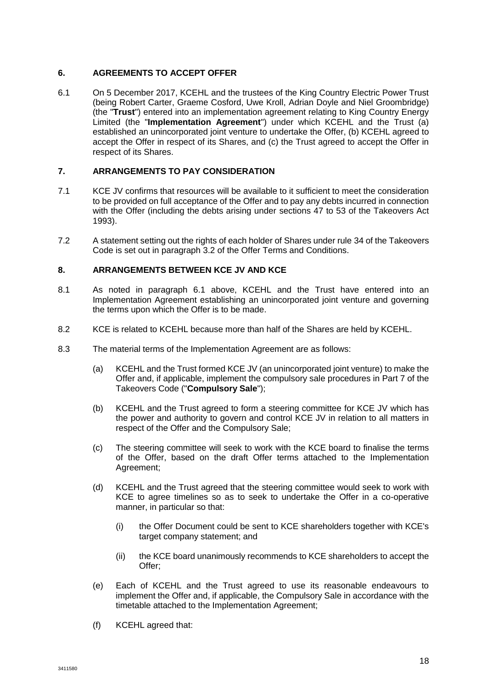# **6. AGREEMENTS TO ACCEPT OFFER**

<span id="page-18-0"></span>6.1 On 5 December 2017, KCEHL and the trustees of the King Country Electric Power Trust (being Robert Carter, Graeme Cosford, Uwe Kroll, Adrian Doyle and Niel Groombridge) (the "**Trust**") entered into an implementation agreement relating to King Country Energy Limited (the "**Implementation Agreement**") under which KCEHL and the Trust (a) established an unincorporated joint venture to undertake the Offer, (b) KCEHL agreed to accept the Offer in respect of its Shares, and (c) the Trust agreed to accept the Offer in respect of its Shares.

# **7. ARRANGEMENTS TO PAY CONSIDERATION**

- 7.1 KCE JV confirms that resources will be available to it sufficient to meet the consideration to be provided on full acceptance of the Offer and to pay any debts incurred in connection with the Offer (including the debts arising under sections 47 to 53 of the Takeovers Act 1993).
- 7.2 A statement setting out the rights of each holder of Shares under rule 34 of the Takeovers Code is set out in paragraph [3.2](#page-6-1) of the Offer Terms and Conditions.

# **8. ARRANGEMENTS BETWEEN KCE JV AND KCE**

- 8.1 As noted in paragraph [6.1](#page-18-0) above, KCEHL and the Trust have entered into an Implementation Agreement establishing an unincorporated joint venture and governing the terms upon which the Offer is to be made.
- 8.2 KCE is related to KCEHL because more than half of the Shares are held by KCEHL.
- 8.3 The material terms of the Implementation Agreement are as follows:
	- (a) KCEHL and the Trust formed KCE JV (an unincorporated joint venture) to make the Offer and, if applicable, implement the compulsory sale procedures in Part 7 of the Takeovers Code ("**Compulsory Sale**");
	- (b) KCEHL and the Trust agreed to form a steering committee for KCE JV which has the power and authority to govern and control KCE JV in relation to all matters in respect of the Offer and the Compulsory Sale;
	- (c) The steering committee will seek to work with the KCE board to finalise the terms of the Offer, based on the draft Offer terms attached to the Implementation Agreement;
	- (d) KCEHL and the Trust agreed that the steering committee would seek to work with KCE to agree timelines so as to seek to undertake the Offer in a co-operative manner, in particular so that:
		- (i) the Offer Document could be sent to KCE shareholders together with KCE's target company statement; and
		- (ii) the KCE board unanimously recommends to KCE shareholders to accept the Offer;
	- (e) Each of KCEHL and the Trust agreed to use its reasonable endeavours to implement the Offer and, if applicable, the Compulsory Sale in accordance with the timetable attached to the Implementation Agreement;
	- (f) KCEHL agreed that: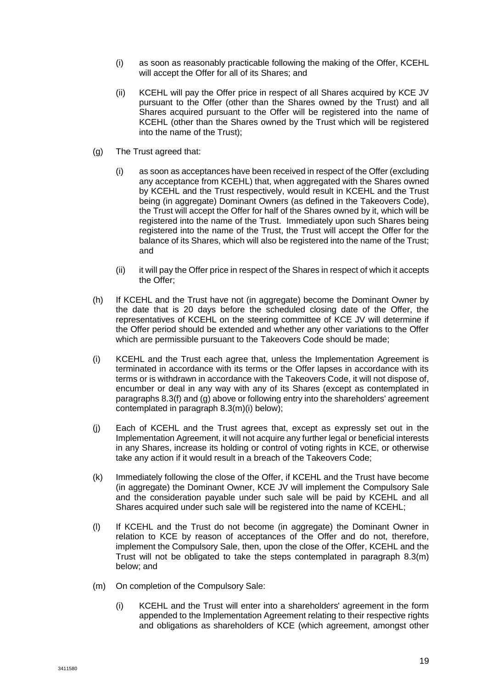- (i) as soon as reasonably practicable following the making of the Offer, KCEHL will accept the Offer for all of its Shares; and
- (ii) KCEHL will pay the Offer price in respect of all Shares acquired by KCE JV pursuant to the Offer (other than the Shares owned by the Trust) and all Shares acquired pursuant to the Offer will be registered into the name of KCEHL (other than the Shares owned by the Trust which will be registered into the name of the Trust);
- (g) The Trust agreed that:
	- (i) as soon as acceptances have been received in respect of the Offer (excluding any acceptance from KCEHL) that, when aggregated with the Shares owned by KCEHL and the Trust respectively, would result in KCEHL and the Trust being (in aggregate) Dominant Owners (as defined in the Takeovers Code), the Trust will accept the Offer for half of the Shares owned by it, which will be registered into the name of the Trust. Immediately upon such Shares being registered into the name of the Trust, the Trust will accept the Offer for the balance of its Shares, which will also be registered into the name of the Trust; and
	- (ii) it will pay the Offer price in respect of the Shares in respect of which it accepts the Offer;
- (h) If KCEHL and the Trust have not (in aggregate) become the Dominant Owner by the date that is 20 days before the scheduled closing date of the Offer, the representatives of KCEHL on the steering committee of KCE JV will determine if the Offer period should be extended and whether any other variations to the Offer which are permissible pursuant to the Takeovers Code should be made;
- (i) KCEHL and the Trust each agree that, unless the Implementation Agreement is terminated in accordance with its terms or the Offer lapses in accordance with its terms or is withdrawn in accordance with the Takeovers Code, it will not dispose of, encumber or deal in any way with any of its Shares (except as contemplated in paragraphs 8.3(f) and (g) above or following entry into the shareholders' agreement contemplated in paragraph 8.3(m)(i) below);
- (j) Each of KCEHL and the Trust agrees that, except as expressly set out in the Implementation Agreement, it will not acquire any further legal or beneficial interests in any Shares, increase its holding or control of voting rights in KCE, or otherwise take any action if it would result in a breach of the Takeovers Code;
- (k) Immediately following the close of the Offer, if KCEHL and the Trust have become (in aggregate) the Dominant Owner, KCE JV will implement the Compulsory Sale and the consideration payable under such sale will be paid by KCEHL and all Shares acquired under such sale will be registered into the name of KCEHL;
- (l) If KCEHL and the Trust do not become (in aggregate) the Dominant Owner in relation to KCE by reason of acceptances of the Offer and do not, therefore, implement the Compulsory Sale, then, upon the close of the Offer, KCEHL and the Trust will not be obligated to take the steps contemplated in paragraph 8.3(m) below; and
- (m) On completion of the Compulsory Sale:
	- (i) KCEHL and the Trust will enter into a shareholders' agreement in the form appended to the Implementation Agreement relating to their respective rights and obligations as shareholders of KCE (which agreement, amongst other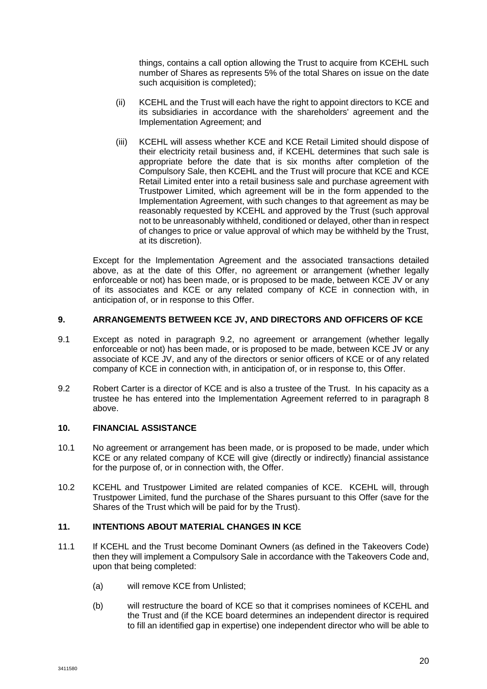things, contains a call option allowing the Trust to acquire from KCEHL such number of Shares as represents 5% of the total Shares on issue on the date such acquisition is completed);

- (ii) KCEHL and the Trust will each have the right to appoint directors to KCE and its subsidiaries in accordance with the shareholders' agreement and the Implementation Agreement; and
- (iii) KCEHL will assess whether KCE and KCE Retail Limited should dispose of their electricity retail business and, if KCEHL determines that such sale is appropriate before the date that is six months after completion of the Compulsory Sale, then KCEHL and the Trust will procure that KCE and KCE Retail Limited enter into a retail business sale and purchase agreement with Trustpower Limited, which agreement will be in the form appended to the Implementation Agreement, with such changes to that agreement as may be reasonably requested by KCEHL and approved by the Trust (such approval not to be unreasonably withheld, conditioned or delayed, other than in respect of changes to price or value approval of which may be withheld by the Trust, at its discretion).

Except for the Implementation Agreement and the associated transactions detailed above, as at the date of this Offer, no agreement or arrangement (whether legally enforceable or not) has been made, or is proposed to be made, between KCE JV or any of its associates and KCE or any related company of KCE in connection with, in anticipation of, or in response to this Offer.

# **9. ARRANGEMENTS BETWEEN KCE JV, AND DIRECTORS AND OFFICERS OF KCE**

- 9.1 Except as noted in paragraph 9.2, no agreement or arrangement (whether legally enforceable or not) has been made, or is proposed to be made, between KCE JV or any associate of KCE JV, and any of the directors or senior officers of KCE or of any related company of KCE in connection with, in anticipation of, or in response to, this Offer.
- 9.2 Robert Carter is a director of KCE and is also a trustee of the Trust. In his capacity as a trustee he has entered into the Implementation Agreement referred to in paragraph 8 above.

# **10. FINANCIAL ASSISTANCE**

- 10.1 No agreement or arrangement has been made, or is proposed to be made, under which KCE or any related company of KCE will give (directly or indirectly) financial assistance for the purpose of, or in connection with, the Offer.
- 10.2 KCEHL and Trustpower Limited are related companies of KCE. KCEHL will, through Trustpower Limited, fund the purchase of the Shares pursuant to this Offer (save for the Shares of the Trust which will be paid for by the Trust).

#### **11. INTENTIONS ABOUT MATERIAL CHANGES IN KCE**

- 11.1 If KCEHL and the Trust become Dominant Owners (as defined in the Takeovers Code) then they will implement a Compulsory Sale in accordance with the Takeovers Code and, upon that being completed:
	- (a) will remove KCE from Unlisted;
	- (b) will restructure the board of KCE so that it comprises nominees of KCEHL and the Trust and (if the KCE board determines an independent director is required to fill an identified gap in expertise) one independent director who will be able to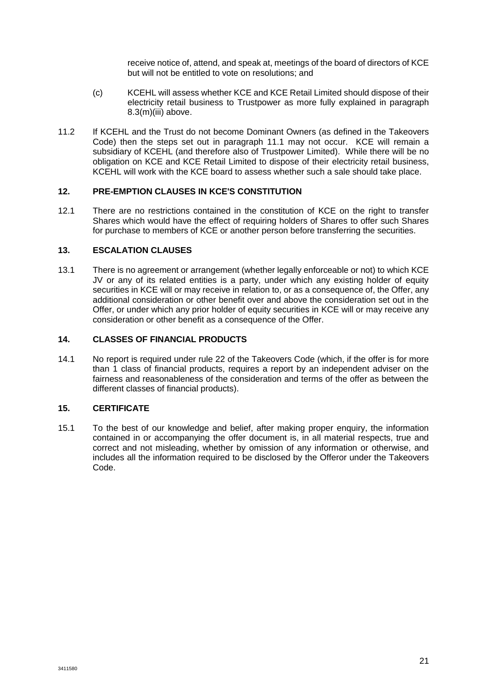receive notice of, attend, and speak at, meetings of the board of directors of KCE but will not be entitled to vote on resolutions; and

- (c) KCEHL will assess whether KCE and KCE Retail Limited should dispose of their electricity retail business to Trustpower as more fully explained in paragraph 8.3(m)(iii) above.
- 11.2 If KCEHL and the Trust do not become Dominant Owners (as defined in the Takeovers Code) then the steps set out in paragraph 11.1 may not occur. KCE will remain a subsidiary of KCEHL (and therefore also of Trustpower Limited). While there will be no obligation on KCE and KCE Retail Limited to dispose of their electricity retail business, KCEHL will work with the KCE board to assess whether such a sale should take place.

#### **12. PRE-EMPTION CLAUSES IN KCE'S CONSTITUTION**

12.1 There are no restrictions contained in the constitution of KCE on the right to transfer Shares which would have the effect of requiring holders of Shares to offer such Shares for purchase to members of KCE or another person before transferring the securities.

#### **13. ESCALATION CLAUSES**

13.1 There is no agreement or arrangement (whether legally enforceable or not) to which KCE JV or any of its related entities is a party, under which any existing holder of equity securities in KCE will or may receive in relation to, or as a consequence of, the Offer, any additional consideration or other benefit over and above the consideration set out in the Offer, or under which any prior holder of equity securities in KCE will or may receive any consideration or other benefit as a consequence of the Offer.

# **14. CLASSES OF FINANCIAL PRODUCTS**

14.1 No report is required under rule 22 of the Takeovers Code (which, if the offer is for more than 1 class of financial products, requires a report by an independent adviser on the fairness and reasonableness of the consideration and terms of the offer as between the different classes of financial products).

## **15. CERTIFICATE**

15.1 To the best of our knowledge and belief, after making proper enquiry, the information contained in or accompanying the offer document is, in all material respects, true and correct and not misleading, whether by omission of any information or otherwise, and includes all the information required to be disclosed by the Offeror under the Takeovers Code.